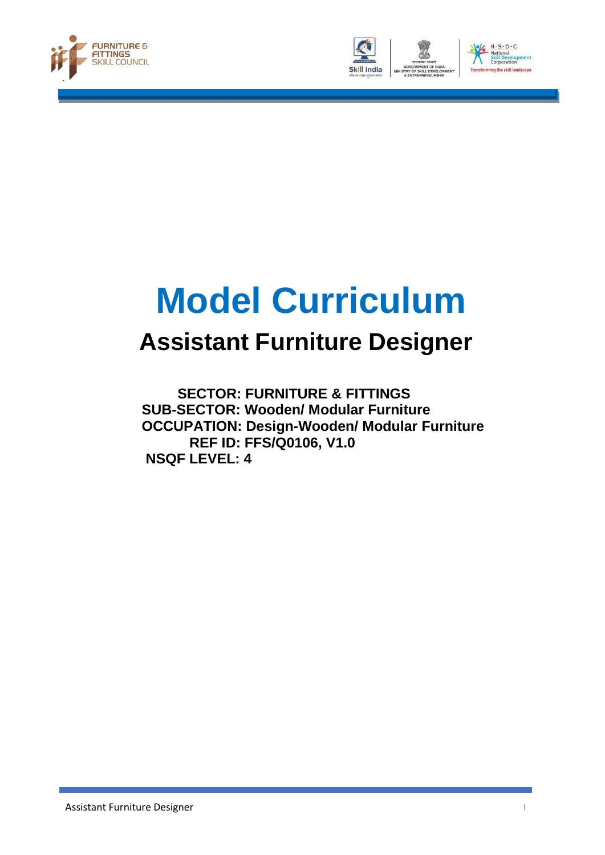





# **Model Curriculum**

## **Assistant Furniture Designer**

 **SECTOR: FURNITURE & FITTINGS SUB-SECTOR: Wooden/ Modular Furniture OCCUPATION: Design-Wooden/ Modular Furniture REF ID: FFS/Q0106, V1.0 NSQF LEVEL: 4**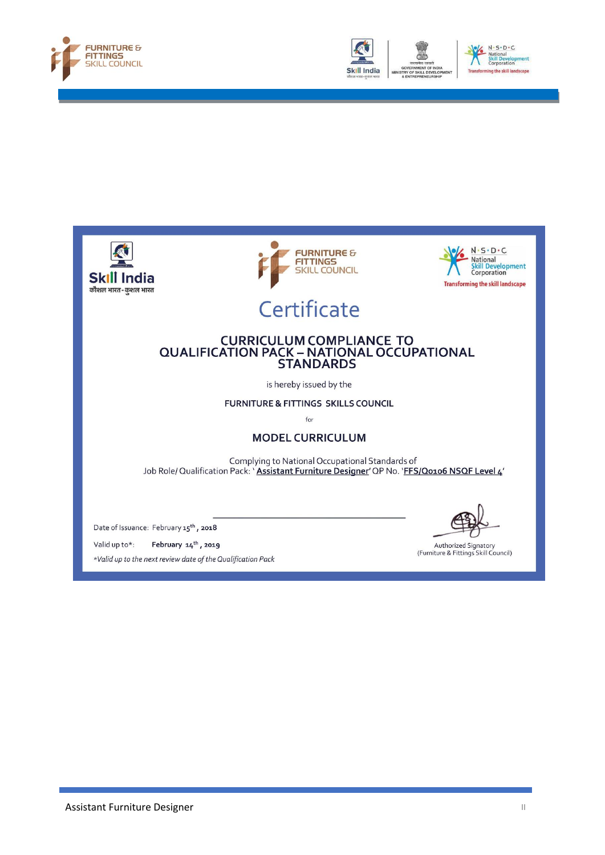





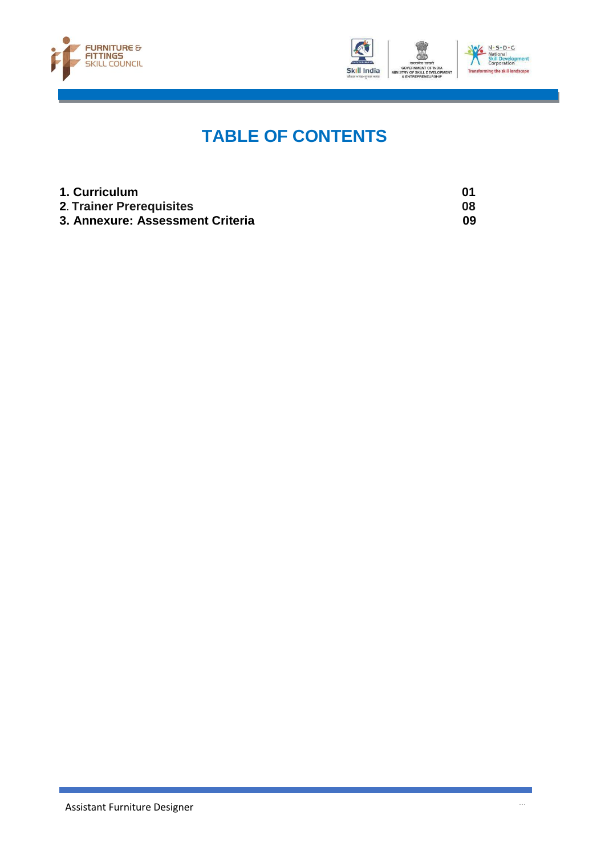



## **TABLE OF CONTENTS**

| 1. Curriculum                    | 01 |
|----------------------------------|----|
| 2. Trainer Prerequisites         | 08 |
| 3. Annexure: Assessment Criteria | 09 |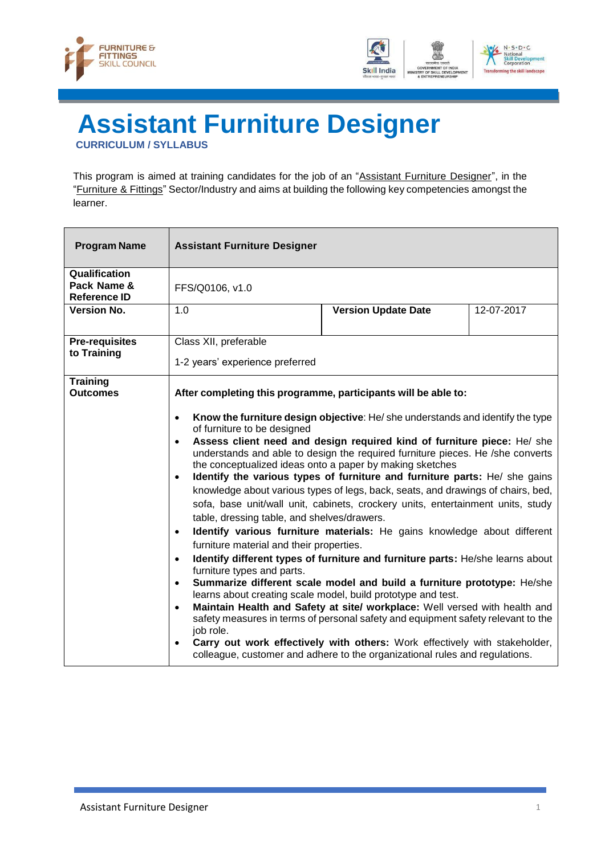



## <span id="page-3-0"></span>**Assistant Furniture Designer CURRICULUM / SYLLABUS**

This program is aimed at training candidates for the job of an "Assistant Furniture Designer", in the "Furniture & Fittings" Sector/Industry and aims at building the following key competencies amongst the learner.

| <b>Program Name</b>                                 | <b>Assistant Furniture Designer</b>                                                                                                                                                                                                                                                                                            |                                                                                                                                                                                                                                                                                                                                                                                                                                                                                                                                                                                                                                                                                                                                                                                                                                                                                                                                                                                                                                                                                                                      |            |
|-----------------------------------------------------|--------------------------------------------------------------------------------------------------------------------------------------------------------------------------------------------------------------------------------------------------------------------------------------------------------------------------------|----------------------------------------------------------------------------------------------------------------------------------------------------------------------------------------------------------------------------------------------------------------------------------------------------------------------------------------------------------------------------------------------------------------------------------------------------------------------------------------------------------------------------------------------------------------------------------------------------------------------------------------------------------------------------------------------------------------------------------------------------------------------------------------------------------------------------------------------------------------------------------------------------------------------------------------------------------------------------------------------------------------------------------------------------------------------------------------------------------------------|------------|
| Qualification<br>Pack Name &<br><b>Reference ID</b> | FFS/Q0106, v1.0                                                                                                                                                                                                                                                                                                                |                                                                                                                                                                                                                                                                                                                                                                                                                                                                                                                                                                                                                                                                                                                                                                                                                                                                                                                                                                                                                                                                                                                      |            |
| <b>Version No.</b>                                  | 1.0                                                                                                                                                                                                                                                                                                                            | <b>Version Update Date</b>                                                                                                                                                                                                                                                                                                                                                                                                                                                                                                                                                                                                                                                                                                                                                                                                                                                                                                                                                                                                                                                                                           | 12-07-2017 |
| <b>Pre-requisites</b><br>to Training                | Class XII, preferable<br>1-2 years' experience preferred                                                                                                                                                                                                                                                                       |                                                                                                                                                                                                                                                                                                                                                                                                                                                                                                                                                                                                                                                                                                                                                                                                                                                                                                                                                                                                                                                                                                                      |            |
| <b>Training</b><br><b>Outcomes</b>                  | After completing this programme, participants will be able to:<br>$\bullet$<br>of furniture to be designed<br>$\bullet$<br>$\bullet$<br>table, dressing table, and shelves/drawers.<br>$\bullet$<br>furniture material and their properties.<br>$\bullet$<br>furniture types and parts.<br>$\bullet$<br>$\bullet$<br>job role. | Know the furniture design objective: He/she understands and identify the type<br>Assess client need and design required kind of furniture piece: He/ she<br>understands and able to design the required furniture pieces. He /she converts<br>the conceptualized ideas onto a paper by making sketches<br>Identify the various types of furniture and furniture parts: He/ she gains<br>knowledge about various types of legs, back, seats, and drawings of chairs, bed,<br>sofa, base unit/wall unit, cabinets, crockery units, entertainment units, study<br>Identify various furniture materials: He gains knowledge about different<br>Identify different types of furniture and furniture parts: He/she learns about<br>Summarize different scale model and build a furniture prototype: He/she<br>learns about creating scale model, build prototype and test.<br>Maintain Health and Safety at site/ workplace: Well versed with health and<br>safety measures in terms of personal safety and equipment safety relevant to the<br>Carry out work effectively with others: Work effectively with stakeholder, |            |
|                                                     |                                                                                                                                                                                                                                                                                                                                | colleague, customer and adhere to the organizational rules and regulations.                                                                                                                                                                                                                                                                                                                                                                                                                                                                                                                                                                                                                                                                                                                                                                                                                                                                                                                                                                                                                                          |            |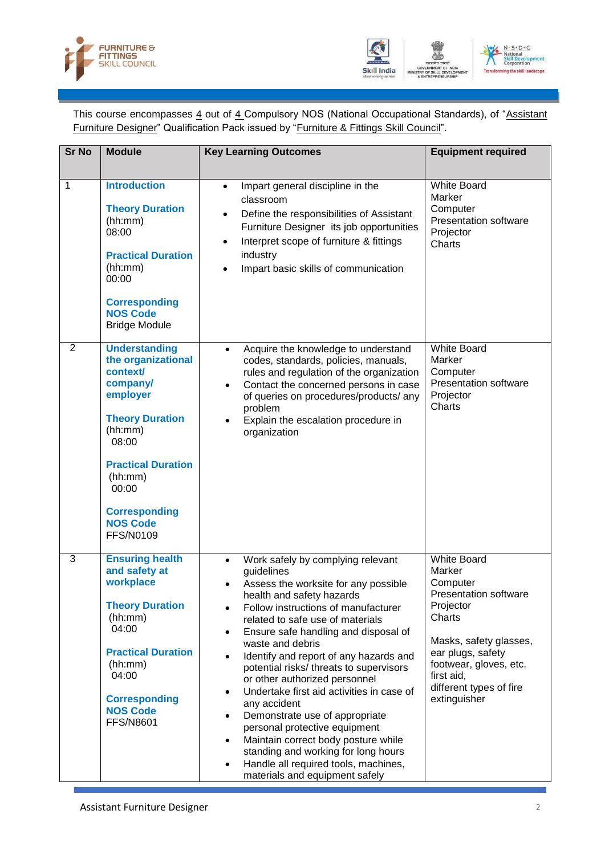



This course encompasses 4 out of 4 Compulsory NOS (National Occupational Standards), of "Assistant Furniture Designer" Qualification Pack issued by "Furniture & Fittings Skill Council".

| <b>Sr No</b> | <b>Module</b>                                                                                                                                                                                                                                | <b>Key Learning Outcomes</b>                                                                                                                                                                                                                                                                                                                                                                                                                                                                                                                                                                                                                                                                                                               | <b>Equipment required</b>                                                                                                                                                                                                         |
|--------------|----------------------------------------------------------------------------------------------------------------------------------------------------------------------------------------------------------------------------------------------|--------------------------------------------------------------------------------------------------------------------------------------------------------------------------------------------------------------------------------------------------------------------------------------------------------------------------------------------------------------------------------------------------------------------------------------------------------------------------------------------------------------------------------------------------------------------------------------------------------------------------------------------------------------------------------------------------------------------------------------------|-----------------------------------------------------------------------------------------------------------------------------------------------------------------------------------------------------------------------------------|
| 1            | <b>Introduction</b><br><b>Theory Duration</b><br>(hh:mm)<br>08:00<br><b>Practical Duration</b><br>(hh:mm)<br>00:00<br><b>Corresponding</b><br><b>NOS Code</b><br><b>Bridge Module</b>                                                        | Impart general discipline in the<br>$\bullet$<br>classroom<br>Define the responsibilities of Assistant<br>Furniture Designer its job opportunities<br>Interpret scope of furniture & fittings<br>$\bullet$<br>industry<br>Impart basic skills of communication                                                                                                                                                                                                                                                                                                                                                                                                                                                                             | <b>White Board</b><br>Marker<br>Computer<br>Presentation software<br>Projector<br>Charts                                                                                                                                          |
| 2            | <b>Understanding</b><br>the organizational<br>context/<br>company/<br>employer<br><b>Theory Duration</b><br>(hh:mm)<br>08:00<br><b>Practical Duration</b><br>(hh:mm)<br>00:00<br><b>Corresponding</b><br><b>NOS Code</b><br><b>FFS/N0109</b> | Acquire the knowledge to understand<br>codes, standards, policies, manuals,<br>rules and regulation of the organization<br>Contact the concerned persons in case<br>of queries on procedures/products/ any<br>problem<br>Explain the escalation procedure in<br>organization                                                                                                                                                                                                                                                                                                                                                                                                                                                               | <b>White Board</b><br>Marker<br>Computer<br><b>Presentation software</b><br>Projector<br>Charts                                                                                                                                   |
| 3            | <b>Ensuring health</b><br>and safety at<br>workplace<br><b>Theory Duration</b><br>(hh:mm)<br>04:00<br><b>Practical Duration</b><br>(hh:mm)<br>04:00<br><b>Corresponding</b><br><b>NOS Code</b><br><b>FFS/N8601</b>                           | Work safely by complying relevant<br>$\bullet$<br>guidelines<br>Assess the worksite for any possible<br>health and safety hazards<br>Follow instructions of manufacturer<br>related to safe use of materials<br>Ensure safe handling and disposal of<br>$\bullet$<br>waste and debris<br>Identify and report of any hazards and<br>potential risks/ threats to supervisors<br>or other authorized personnel<br>Undertake first aid activities in case of<br>$\bullet$<br>any accident<br>Demonstrate use of appropriate<br>$\bullet$<br>personal protective equipment<br>Maintain correct body posture while<br>$\bullet$<br>standing and working for long hours<br>Handle all required tools, machines,<br>materials and equipment safely | <b>White Board</b><br>Marker<br>Computer<br><b>Presentation software</b><br>Projector<br>Charts<br>Masks, safety glasses,<br>ear plugs, safety<br>footwear, gloves, etc.<br>first aid,<br>different types of fire<br>extinguisher |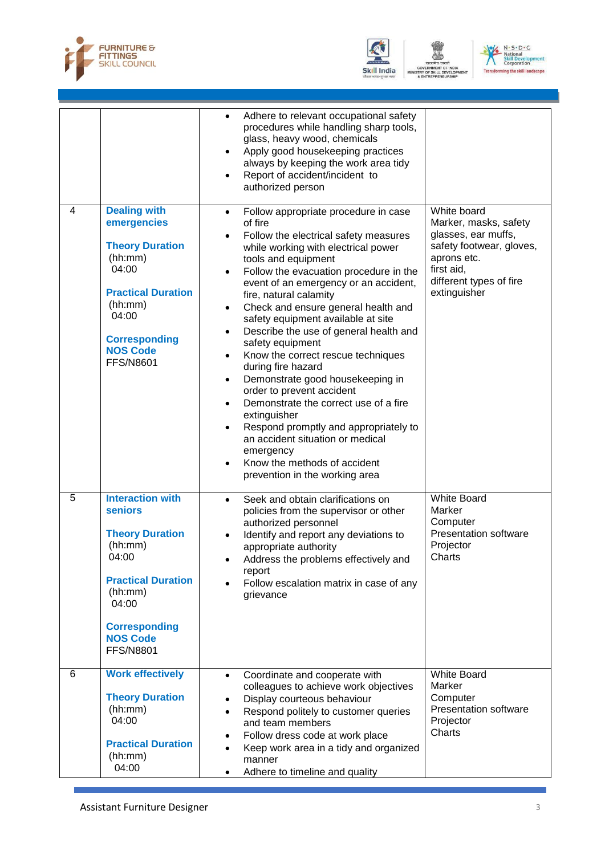





|   |                                                                                                                                                                                                         | Adhere to relevant occupational safety<br>$\bullet$<br>procedures while handling sharp tools,<br>glass, heavy wood, chemicals<br>Apply good housekeeping practices<br>٠<br>always by keeping the work area tidy<br>Report of accident/incident to<br>authorized person                                                                                                                                                                                                                                                                                                                                                                                                                                                                                                                                                                                        |                                                                                                                                                                 |
|---|---------------------------------------------------------------------------------------------------------------------------------------------------------------------------------------------------------|---------------------------------------------------------------------------------------------------------------------------------------------------------------------------------------------------------------------------------------------------------------------------------------------------------------------------------------------------------------------------------------------------------------------------------------------------------------------------------------------------------------------------------------------------------------------------------------------------------------------------------------------------------------------------------------------------------------------------------------------------------------------------------------------------------------------------------------------------------------|-----------------------------------------------------------------------------------------------------------------------------------------------------------------|
| 4 | <b>Dealing with</b><br>emergencies<br><b>Theory Duration</b><br>(hh:mm)<br>04:00<br><b>Practical Duration</b><br>(hh:mm)<br>04:00<br><b>Corresponding</b><br><b>NOS Code</b><br><b>FFS/N8601</b>        | Follow appropriate procedure in case<br>$\bullet$<br>of fire<br>Follow the electrical safety measures<br>$\bullet$<br>while working with electrical power<br>tools and equipment<br>Follow the evacuation procedure in the<br>$\bullet$<br>event of an emergency or an accident,<br>fire, natural calamity<br>Check and ensure general health and<br>$\bullet$<br>safety equipment available at site<br>Describe the use of general health and<br>٠<br>safety equipment<br>Know the correct rescue techniques<br>٠<br>during fire hazard<br>Demonstrate good housekeeping in<br>٠<br>order to prevent accident<br>Demonstrate the correct use of a fire<br>$\bullet$<br>extinguisher<br>Respond promptly and appropriately to<br>$\bullet$<br>an accident situation or medical<br>emergency<br>Know the methods of accident<br>prevention in the working area | White board<br>Marker, masks, safety<br>glasses, ear muffs,<br>safety footwear, gloves,<br>aprons etc.<br>first aid,<br>different types of fire<br>extinguisher |
| 5 | <b>Interaction with</b><br><b>seniors</b><br><b>Theory Duration</b><br>(hh:mm)<br>04:00<br><b>Practical Duration</b><br>(hh:mm)<br>04:00<br><b>Corresponding</b><br><b>NOS Code</b><br><b>FFS/N8801</b> | Seek and obtain clarifications on<br>$\bullet$<br>policies from the supervisor or other<br>authorized personnel<br>Identify and report any deviations to<br>appropriate authority<br>Address the problems effectively and<br>report<br>Follow escalation matrix in case of any<br>grievance                                                                                                                                                                                                                                                                                                                                                                                                                                                                                                                                                                   | White Board<br>Marker<br>Computer<br>Presentation software<br>Projector<br>Charts                                                                               |
| 6 | <b>Work effectively</b><br><b>Theory Duration</b><br>(hh:mm)<br>04:00<br><b>Practical Duration</b><br>(hh:mm)<br>04:00                                                                                  | Coordinate and cooperate with<br>$\bullet$<br>colleagues to achieve work objectives<br>Display courteous behaviour<br>$\bullet$<br>Respond politely to customer queries<br>$\bullet$<br>and team members<br>Follow dress code at work place<br>$\bullet$<br>Keep work area in a tidy and organized<br>$\bullet$<br>manner<br>Adhere to timeline and quality<br>$\bullet$                                                                                                                                                                                                                                                                                                                                                                                                                                                                                      | <b>White Board</b><br>Marker<br>Computer<br><b>Presentation software</b><br>Projector<br>Charts                                                                 |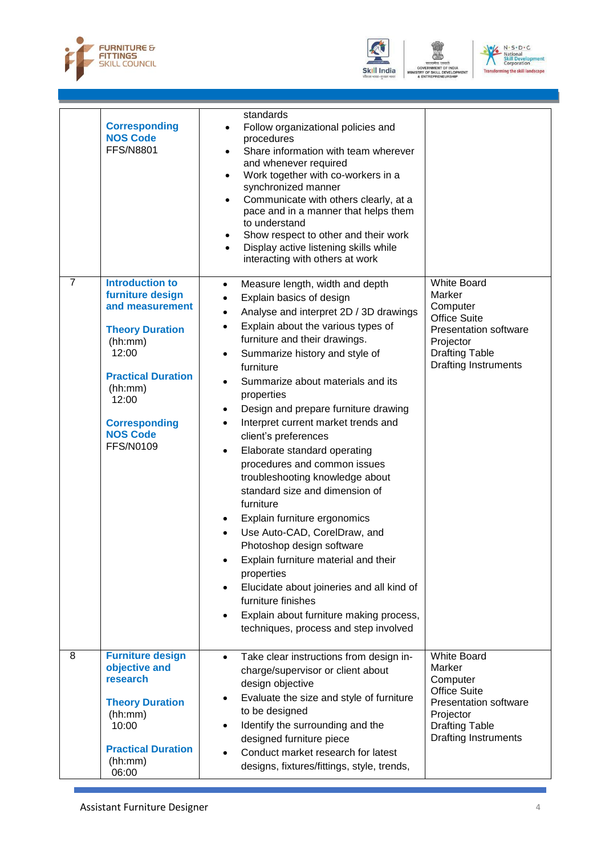





|                | <b>Corresponding</b><br><b>NOS Code</b><br><b>FFS/N8801</b>                                                                                                                                                                 | standards<br>Follow organizational policies and<br>$\bullet$<br>procedures<br>Share information with team wherever<br>$\bullet$<br>and whenever required<br>Work together with co-workers in a<br>$\bullet$<br>synchronized manner<br>Communicate with others clearly, at a<br>$\bullet$<br>pace and in a manner that helps them<br>to understand<br>Show respect to other and their work<br>٠<br>Display active listening skills while<br>$\bullet$<br>interacting with others at work                                                                                                                                                                                                                                                                                                                                                                                                                                                                                                                            |                                                                                                                                                                      |
|----------------|-----------------------------------------------------------------------------------------------------------------------------------------------------------------------------------------------------------------------------|--------------------------------------------------------------------------------------------------------------------------------------------------------------------------------------------------------------------------------------------------------------------------------------------------------------------------------------------------------------------------------------------------------------------------------------------------------------------------------------------------------------------------------------------------------------------------------------------------------------------------------------------------------------------------------------------------------------------------------------------------------------------------------------------------------------------------------------------------------------------------------------------------------------------------------------------------------------------------------------------------------------------|----------------------------------------------------------------------------------------------------------------------------------------------------------------------|
| $\overline{7}$ | <b>Introduction to</b><br>furniture design<br>and measurement<br><b>Theory Duration</b><br>(hh:mm)<br>12:00<br><b>Practical Duration</b><br>(hh:mm)<br>12:00<br><b>Corresponding</b><br><b>NOS Code</b><br><b>FFS/N0109</b> | Measure length, width and depth<br>$\bullet$<br>Explain basics of design<br>$\bullet$<br>Analyse and interpret 2D / 3D drawings<br>$\bullet$<br>Explain about the various types of<br>$\bullet$<br>furniture and their drawings.<br>Summarize history and style of<br>$\bullet$<br>furniture<br>Summarize about materials and its<br>$\bullet$<br>properties<br>Design and prepare furniture drawing<br>$\bullet$<br>Interpret current market trends and<br>$\bullet$<br>client's preferences<br>Elaborate standard operating<br>$\bullet$<br>procedures and common issues<br>troubleshooting knowledge about<br>standard size and dimension of<br>furniture<br>Explain furniture ergonomics<br>٠<br>Use Auto-CAD, CorelDraw, and<br>$\bullet$<br>Photoshop design software<br>Explain furniture material and their<br>properties<br>Elucidate about joineries and all kind of<br>$\bullet$<br>furniture finishes<br>Explain about furniture making process,<br>$\bullet$<br>techniques, process and step involved | <b>White Board</b><br>Marker<br>Computer<br><b>Office Suite</b><br><b>Presentation software</b><br>Projector<br><b>Drafting Table</b><br><b>Drafting Instruments</b> |
| 8              | <b>Furniture design</b><br>objective and<br>research<br><b>Theory Duration</b><br>(hh:mm)<br>10:00<br><b>Practical Duration</b><br>(hh:mm)<br>06:00                                                                         | Take clear instructions from design in-<br>$\bullet$<br>charge/supervisor or client about<br>design objective<br>Evaluate the size and style of furniture<br>$\bullet$<br>to be designed<br>Identify the surrounding and the<br>$\bullet$<br>designed furniture piece<br>Conduct market research for latest<br>designs, fixtures/fittings, style, trends,                                                                                                                                                                                                                                                                                                                                                                                                                                                                                                                                                                                                                                                          | <b>White Board</b><br>Marker<br>Computer<br><b>Office Suite</b><br><b>Presentation software</b><br>Projector<br><b>Drafting Table</b><br><b>Drafting Instruments</b> |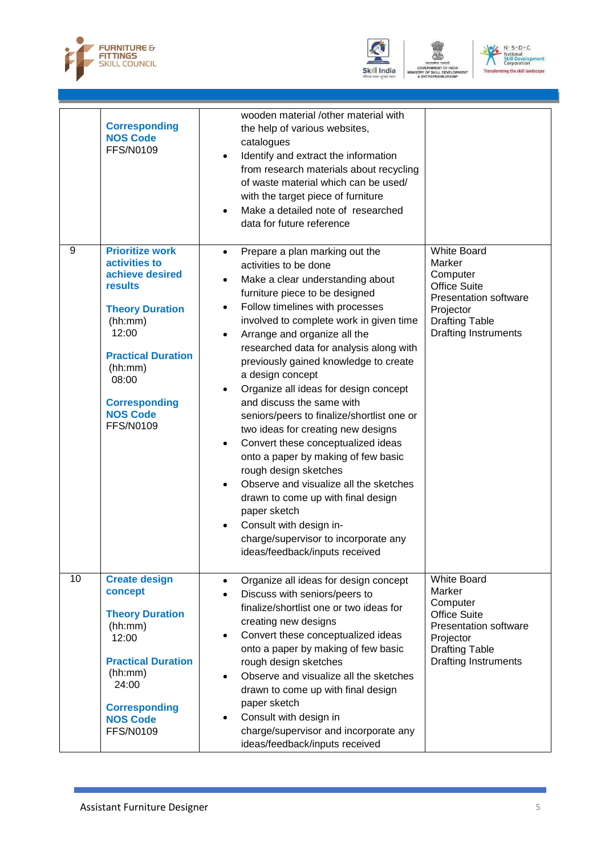





|    | <b>Corresponding</b><br><b>NOS Code</b><br><b>FFS/N0109</b>                                                                                                                                                                                | wooden material /other material with<br>the help of various websites,<br>catalogues<br>Identify and extract the information<br>$\bullet$<br>from research materials about recycling<br>of waste material which can be used/<br>with the target piece of furniture<br>Make a detailed note of researched<br>data for future reference                                                                                                                                                                                                                                                                                                                                                                                                                                                                                                                                                                   |                                                                                                                                                                      |
|----|--------------------------------------------------------------------------------------------------------------------------------------------------------------------------------------------------------------------------------------------|--------------------------------------------------------------------------------------------------------------------------------------------------------------------------------------------------------------------------------------------------------------------------------------------------------------------------------------------------------------------------------------------------------------------------------------------------------------------------------------------------------------------------------------------------------------------------------------------------------------------------------------------------------------------------------------------------------------------------------------------------------------------------------------------------------------------------------------------------------------------------------------------------------|----------------------------------------------------------------------------------------------------------------------------------------------------------------------|
| 9  | <b>Prioritize work</b><br>activities to<br>achieve desired<br><b>results</b><br><b>Theory Duration</b><br>(hh:mm)<br>12:00<br><b>Practical Duration</b><br>(hh:mm)<br>08:00<br><b>Corresponding</b><br><b>NOS Code</b><br><b>FFS/N0109</b> | Prepare a plan marking out the<br>$\bullet$<br>activities to be done<br>Make a clear understanding about<br>$\bullet$<br>furniture piece to be designed<br>Follow timelines with processes<br>$\bullet$<br>involved to complete work in given time<br>Arrange and organize all the<br>$\bullet$<br>researched data for analysis along with<br>previously gained knowledge to create<br>a design concept<br>Organize all ideas for design concept<br>and discuss the same with<br>seniors/peers to finalize/shortlist one or<br>two ideas for creating new designs<br>Convert these conceptualized ideas<br>onto a paper by making of few basic<br>rough design sketches<br>Observe and visualize all the sketches<br>$\bullet$<br>drawn to come up with final design<br>paper sketch<br>Consult with design in-<br>$\bullet$<br>charge/supervisor to incorporate any<br>ideas/feedback/inputs received | <b>White Board</b><br>Marker<br>Computer<br><b>Office Suite</b><br><b>Presentation software</b><br>Projector<br><b>Drafting Table</b><br><b>Drafting Instruments</b> |
| 10 | <b>Create design</b><br>concept<br><b>Theory Duration</b><br>(hh:mm)<br>12:00<br><b>Practical Duration</b><br>(hh:mm)<br>24:00<br><b>Corresponding</b><br><b>NOS Code</b><br><b>FFS/N0109</b>                                              | Organize all ideas for design concept<br>$\bullet$<br>Discuss with seniors/peers to<br>$\bullet$<br>finalize/shortlist one or two ideas for<br>creating new designs<br>Convert these conceptualized ideas<br>$\bullet$<br>onto a paper by making of few basic<br>rough design sketches<br>Observe and visualize all the sketches<br>$\bullet$<br>drawn to come up with final design<br>paper sketch<br>Consult with design in<br>$\bullet$<br>charge/supervisor and incorporate any<br>ideas/feedback/inputs received                                                                                                                                                                                                                                                                                                                                                                                  | <b>White Board</b><br>Marker<br>Computer<br><b>Office Suite</b><br><b>Presentation software</b><br>Projector<br><b>Drafting Table</b><br><b>Drafting Instruments</b> |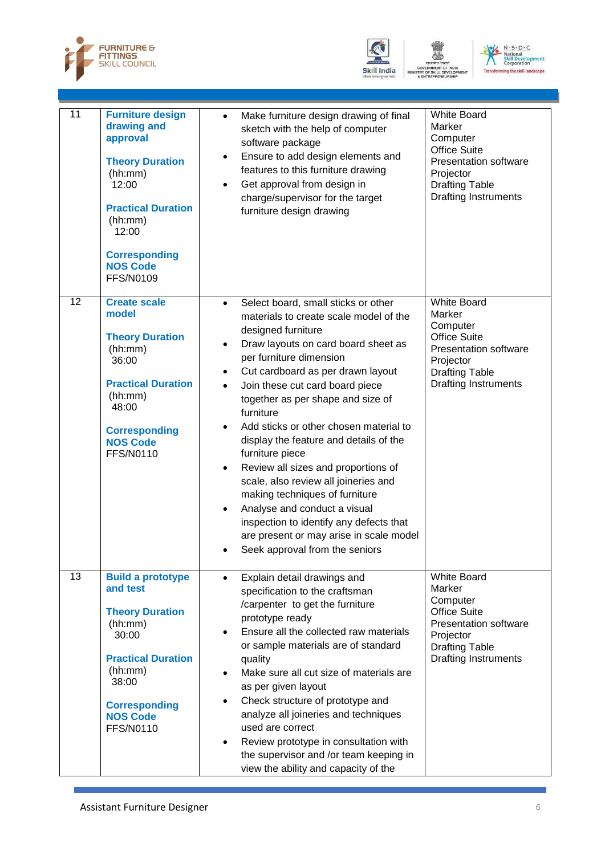





| 11              | <b>Furniture design</b><br>drawing and<br>approval<br><b>Theory Duration</b><br>(hh:mm)<br>12:00<br><b>Practical Duration</b><br>(hh:mm)<br>12:00<br><b>Corresponding</b><br><b>NOS Code</b><br><b>FFS/N0109</b> | Make furniture design drawing of final<br>$\bullet$<br>sketch with the help of computer<br>software package<br>Ensure to add design elements and<br>٠<br>features to this furniture drawing<br>Get approval from design in<br>$\bullet$<br>charge/supervisor for the target<br>furniture design drawing                                                                                                                                                                                                                                                                                                                                                                                                                                                                                 | <b>White Board</b><br>Marker<br>Computer<br><b>Office Suite</b><br><b>Presentation software</b><br>Projector<br><b>Drafting Table</b><br>Drafting Instruments        |
|-----------------|------------------------------------------------------------------------------------------------------------------------------------------------------------------------------------------------------------------|-----------------------------------------------------------------------------------------------------------------------------------------------------------------------------------------------------------------------------------------------------------------------------------------------------------------------------------------------------------------------------------------------------------------------------------------------------------------------------------------------------------------------------------------------------------------------------------------------------------------------------------------------------------------------------------------------------------------------------------------------------------------------------------------|----------------------------------------------------------------------------------------------------------------------------------------------------------------------|
| $\overline{12}$ | <b>Create scale</b><br>model<br><b>Theory Duration</b><br>(hh:mm)<br>36:00<br><b>Practical Duration</b><br>(hh:mm)<br>48:00<br><b>Corresponding</b><br><b>NOS Code</b><br><b>FFS/N0110</b>                       | Select board, small sticks or other<br>$\bullet$<br>materials to create scale model of the<br>designed furniture<br>Draw layouts on card board sheet as<br>$\bullet$<br>per furniture dimension<br>Cut cardboard as per drawn layout<br>$\bullet$<br>Join these cut card board piece<br>$\bullet$<br>together as per shape and size of<br>furniture<br>Add sticks or other chosen material to<br>$\bullet$<br>display the feature and details of the<br>furniture piece<br>Review all sizes and proportions of<br>$\bullet$<br>scale, also review all joineries and<br>making techniques of furniture<br>Analyse and conduct a visual<br>$\bullet$<br>inspection to identify any defects that<br>are present or may arise in scale model<br>Seek approval from the seniors<br>$\bullet$ | <b>White Board</b><br>Marker<br>Computer<br><b>Office Suite</b><br><b>Presentation software</b><br>Projector<br><b>Drafting Table</b><br><b>Drafting Instruments</b> |
| $\overline{13}$ | <b>Build a prototype</b><br>and test<br><b>Theory Duration</b><br>(hh:mm)<br>30:00<br><b>Practical Duration</b><br>(hh:mm)<br>38:00<br><b>Corresponding</b><br><b>NOS Code</b><br><b>FFS/N0110</b>               | Explain detail drawings and<br>$\bullet$<br>specification to the craftsman<br>/carpenter to get the furniture<br>prototype ready<br>Ensure all the collected raw materials<br>or sample materials are of standard<br>quality<br>Make sure all cut size of materials are<br>$\bullet$<br>as per given layout<br>Check structure of prototype and<br>$\bullet$<br>analyze all joineries and techniques<br>used are correct<br>Review prototype in consultation with<br>$\bullet$<br>the supervisor and /or team keeping in<br>view the ability and capacity of the                                                                                                                                                                                                                        | <b>White Board</b><br>Marker<br>Computer<br><b>Office Suite</b><br><b>Presentation software</b><br>Projector<br><b>Drafting Table</b><br><b>Drafting Instruments</b> |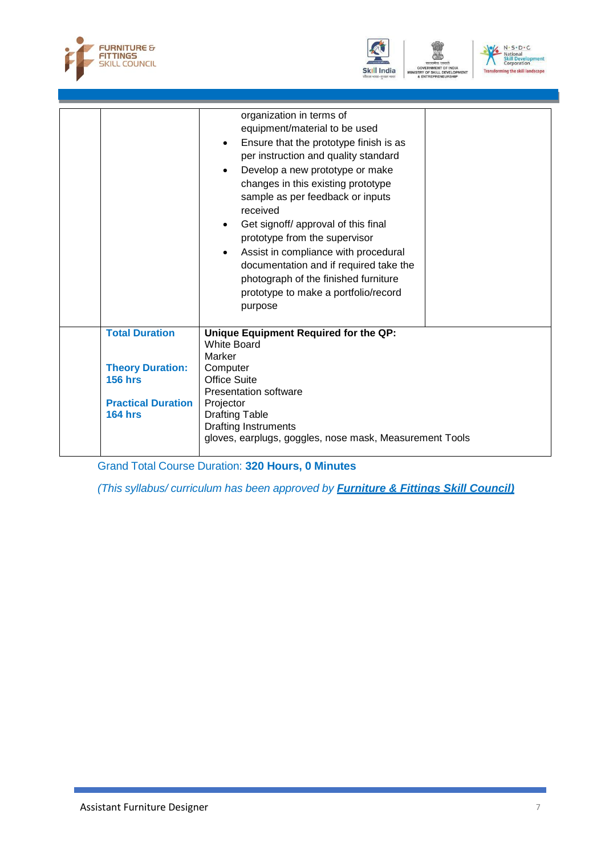





|                                                                                                                   | organization in terms of<br>equipment/material to be used<br>Ensure that the prototype finish is as<br>$\bullet$<br>per instruction and quality standard<br>Develop a new prototype or make<br>changes in this existing prototype<br>sample as per feedback or inputs<br>received<br>Get signoff/ approval of this final<br>prototype from the supervisor<br>Assist in compliance with procedural<br>documentation and if required take the<br>photograph of the finished furniture<br>prototype to make a portfolio/record<br>purpose |
|-------------------------------------------------------------------------------------------------------------------|----------------------------------------------------------------------------------------------------------------------------------------------------------------------------------------------------------------------------------------------------------------------------------------------------------------------------------------------------------------------------------------------------------------------------------------------------------------------------------------------------------------------------------------|
| <b>Total Duration</b><br><b>Theory Duration:</b><br><b>156 hrs</b><br><b>Practical Duration</b><br><b>164 hrs</b> | Unique Equipment Required for the QP:<br>White Board<br>Marker<br>Computer<br><b>Office Suite</b><br><b>Presentation software</b><br>Projector<br><b>Drafting Table</b>                                                                                                                                                                                                                                                                                                                                                                |
|                                                                                                                   | <b>Drafting Instruments</b><br>gloves, earplugs, goggles, nose mask, Measurement Tools                                                                                                                                                                                                                                                                                                                                                                                                                                                 |

Grand Total Course Duration: **320 Hours, 0 Minutes**

*(This syllabus/ curriculum has been approved by Furniture & Fittings Skill Council)*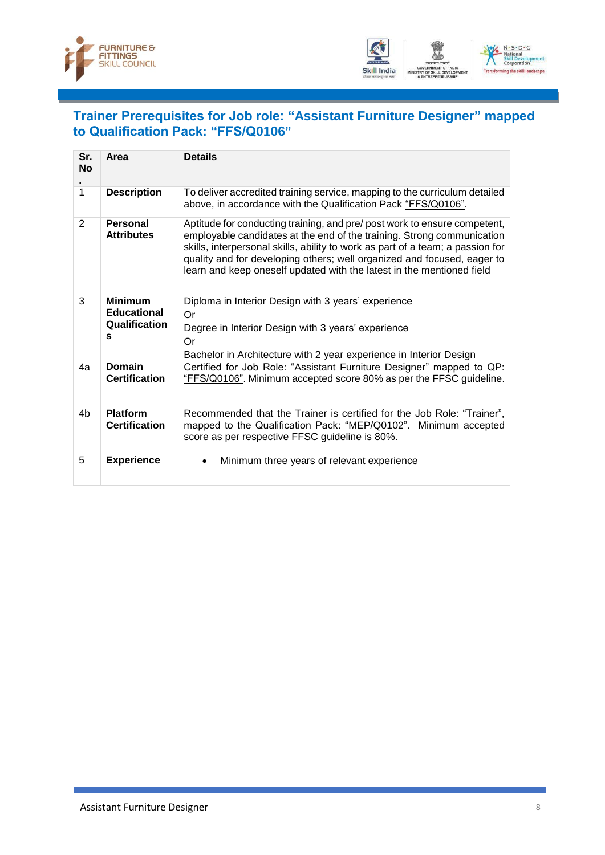



### <span id="page-10-0"></span>**Trainer Prerequisites for Job role: "Assistant Furniture Designer" mapped to Qualification Pack: "FFS/Q0106"**

| Sr.<br><b>No</b> | Area                                                       | <b>Details</b>                                                                                                                                                                                                                                                                                                                                                                            |
|------------------|------------------------------------------------------------|-------------------------------------------------------------------------------------------------------------------------------------------------------------------------------------------------------------------------------------------------------------------------------------------------------------------------------------------------------------------------------------------|
| 1                | <b>Description</b>                                         | To deliver accredited training service, mapping to the curriculum detailed<br>above, in accordance with the Qualification Pack "FFS/Q0106".                                                                                                                                                                                                                                               |
| $\overline{2}$   | Personal<br><b>Attributes</b>                              | Aptitude for conducting training, and pre/ post work to ensure competent,<br>employable candidates at the end of the training. Strong communication<br>skills, interpersonal skills, ability to work as part of a team; a passion for<br>quality and for developing others; well organized and focused, eager to<br>learn and keep oneself updated with the latest in the mentioned field |
| 3                | <b>Minimum</b><br><b>Educational</b><br>Qualification<br>s | Diploma in Interior Design with 3 years' experience<br>Or<br>Degree in Interior Design with 3 years' experience<br>Or                                                                                                                                                                                                                                                                     |
|                  |                                                            | Bachelor in Architecture with 2 year experience in Interior Design                                                                                                                                                                                                                                                                                                                        |
| 4a               | Domain<br><b>Certification</b>                             | Certified for Job Role: "Assistant Furniture Designer" mapped to QP:<br>"FFS/Q0106". Minimum accepted score 80% as per the FFSC guideline.                                                                                                                                                                                                                                                |
| 4b               | <b>Platform</b><br><b>Certification</b>                    | Recommended that the Trainer is certified for the Job Role: "Trainer",<br>mapped to the Qualification Pack: "MEP/Q0102".<br>Minimum accepted<br>score as per respective FFSC guideline is 80%.                                                                                                                                                                                            |
| 5                | <b>Experience</b>                                          | Minimum three years of relevant experience<br>$\bullet$                                                                                                                                                                                                                                                                                                                                   |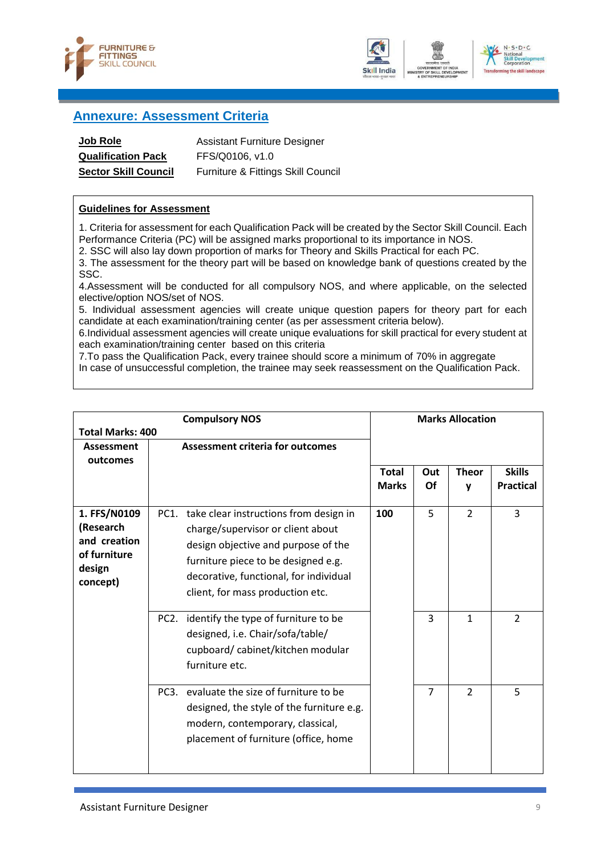





#### <span id="page-11-0"></span>**Annexure: Assessment Criteria**

| <b>Job Role</b>             | <b>Assistant Furniture Designer</b> |
|-----------------------------|-------------------------------------|
| <b>Qualification Pack</b>   | FFS/Q0106, v1.0                     |
| <b>Sector Skill Council</b> | Furniture & Fittings Skill Council  |

#### **Guidelines for Assessment**

1. Criteria for assessment for each Qualification Pack will be created by the Sector Skill Council. Each Performance Criteria (PC) will be assigned marks proportional to its importance in NOS.

2. SSC will also lay down proportion of marks for Theory and Skills Practical for each PC.

3. The assessment for the theory part will be based on knowledge bank of questions created by the SSC.

4.Assessment will be conducted for all compulsory NOS, and where applicable, on the selected elective/option NOS/set of NOS.

5. Individual assessment agencies will create unique question papers for theory part for each candidate at each examination/training center (as per assessment criteria below).

6.Individual assessment agencies will create unique evaluations for skill practical for every student at each examination/training center based on this criteria

7.To pass the Qualification Pack, every trainee should score a minimum of 70% in aggregate

In case of unsuccessful completion, the trainee may seek reassessment on the Qualification Pack.

| <b>Compulsory NOS</b>                                                           |                                                                                                                                                                                                                                              |                              |                | <b>Marks Allocation</b> |                                   |
|---------------------------------------------------------------------------------|----------------------------------------------------------------------------------------------------------------------------------------------------------------------------------------------------------------------------------------------|------------------------------|----------------|-------------------------|-----------------------------------|
| <b>Total Marks: 400</b><br><b>Assessment</b><br>outcomes                        | <b>Assessment criteria for outcomes</b>                                                                                                                                                                                                      |                              |                |                         |                                   |
|                                                                                 |                                                                                                                                                                                                                                              | <b>Total</b><br><b>Marks</b> | Out<br>Of      | <b>Theor</b><br>y       | <b>Skills</b><br><b>Practical</b> |
| 1. FFS/N0109<br>(Research<br>and creation<br>of furniture<br>design<br>concept) | PC1. take clear instructions from design in<br>charge/supervisor or client about<br>design objective and purpose of the<br>furniture piece to be designed e.g.<br>decorative, functional, for individual<br>client, for mass production etc. | 100                          | 5              | $\overline{2}$          | 3                                 |
|                                                                                 | PC2. identify the type of furniture to be<br>designed, i.e. Chair/sofa/table/<br>cupboard/cabinet/kitchen modular<br>furniture etc.                                                                                                          |                              | 3              | $\mathbf{1}$            | $\overline{2}$                    |
|                                                                                 | PC3. evaluate the size of furniture to be<br>designed, the style of the furniture e.g.<br>modern, contemporary, classical,<br>placement of furniture (office, home                                                                           |                              | $\overline{7}$ | $\overline{2}$          | 5                                 |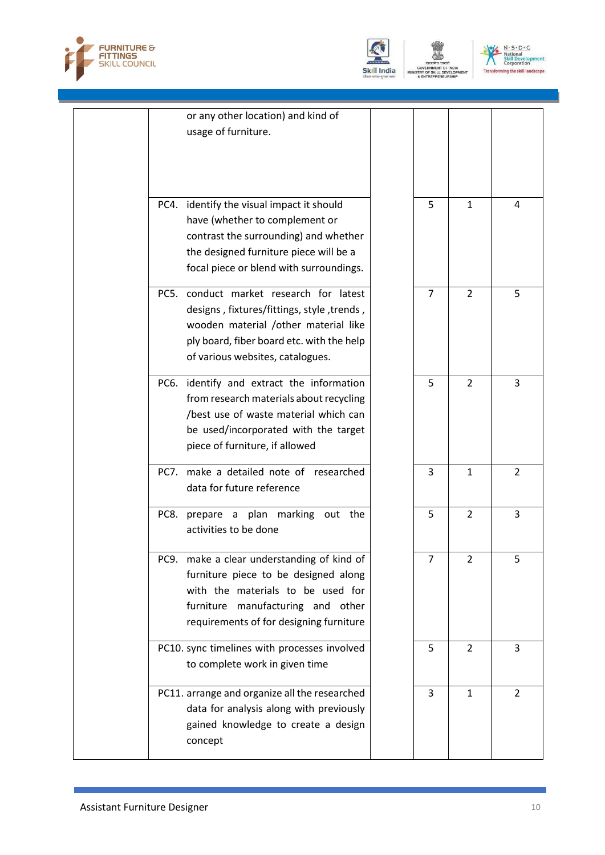



| or any other location) and kind of<br>usage of furniture.                                                                                                                                                      |                |                |                |
|----------------------------------------------------------------------------------------------------------------------------------------------------------------------------------------------------------------|----------------|----------------|----------------|
| PC4. identify the visual impact it should<br>have (whether to complement or<br>contrast the surrounding) and whether<br>the designed furniture piece will be a<br>focal piece or blend with surroundings.      | 5              | $\mathbf{1}$   | 4              |
| PC5. conduct market research for latest<br>designs, fixtures/fittings, style, trends,<br>wooden material /other material like<br>ply board, fiber board etc. with the help<br>of various websites, catalogues. | $\overline{7}$ | $\overline{2}$ | 5              |
| PC6. identify and extract the information<br>from research materials about recycling<br>/best use of waste material which can<br>be used/incorporated with the target<br>piece of furniture, if allowed        | 5              | $\overline{2}$ | 3              |
| PC7. make a detailed note of researched<br>data for future reference                                                                                                                                           | 3              | $\mathbf{1}$   | $\overline{2}$ |
| PC8. prepare a plan marking out the<br>activities to be done                                                                                                                                                   | 5              | $\overline{2}$ | 3              |
| PC9. make a clear understanding of kind of<br>furniture piece to be designed along<br>with the materials to be used for<br>furniture manufacturing and other<br>requirements of for designing furniture        |                | 2              | 5              |
| PC10. sync timelines with processes involved<br>to complete work in given time                                                                                                                                 | 5              | $\overline{2}$ | 3              |
| PC11. arrange and organize all the researched<br>data for analysis along with previously<br>gained knowledge to create a design<br>concept                                                                     | 3              | 1              | 2              |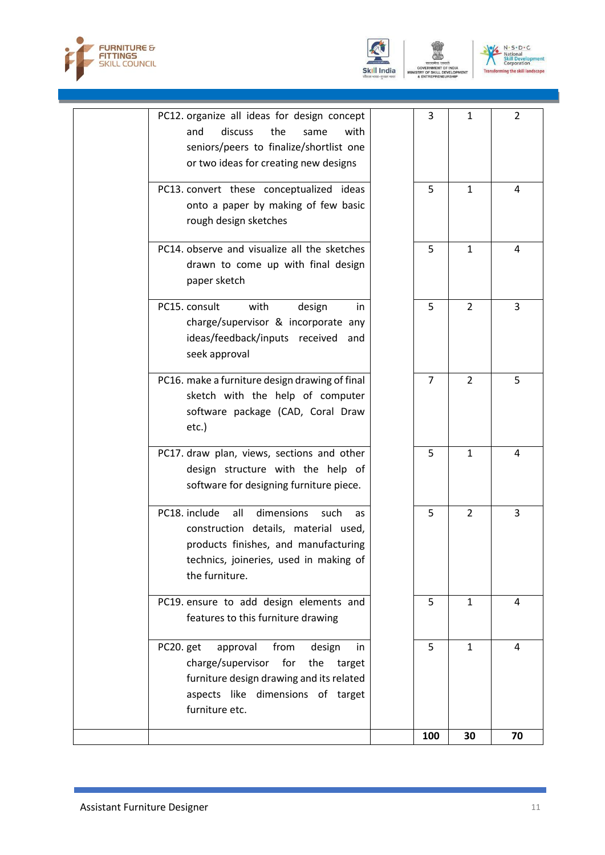





ENT

| PC13. convert these conceptualized ideas<br>onto a paper by making of few basic<br>rough design sketches                                                                                      |                |                |    |
|-----------------------------------------------------------------------------------------------------------------------------------------------------------------------------------------------|----------------|----------------|----|
| PC14. observe and visualize all the sketches<br>drawn to come up with final design<br>paper sketch                                                                                            | 5              | $\mathbf{1}$   | 4  |
| PC15. consult<br>with<br>design<br>in<br>charge/supervisor & incorporate any<br>ideas/feedback/inputs received and<br>seek approval                                                           | 5              | $\overline{2}$ | 3  |
| PC16. make a furniture design drawing of final<br>sketch with the help of computer<br>software package (CAD, Coral Draw<br>$etc.$ )                                                           | $\overline{7}$ | $\overline{2}$ | 5  |
| PC17. draw plan, views, sections and other<br>design structure with the help of<br>software for designing furniture piece.                                                                    | 5              | 1              | 4  |
| PC18. include<br>dimensions<br>all<br>such<br>as<br>construction details, material used,<br>products finishes, and manufacturing<br>technics, joineries, used in making of<br>the furniture.  | 5              | $\overline{2}$ | 3  |
| PC19. ensure to add design elements and<br>features to this furniture drawing                                                                                                                 | 5              | $\mathbf{1}$   | 4  |
| PC20. get<br>approval<br>from<br>design<br>in<br>charge/supervisor<br>for<br>the<br>target<br>furniture design drawing and its related<br>aspects like dimensions of target<br>furniture etc. | 5              | $\mathbf{1}$   | 4  |
|                                                                                                                                                                                               | 100            | 30             | 70 |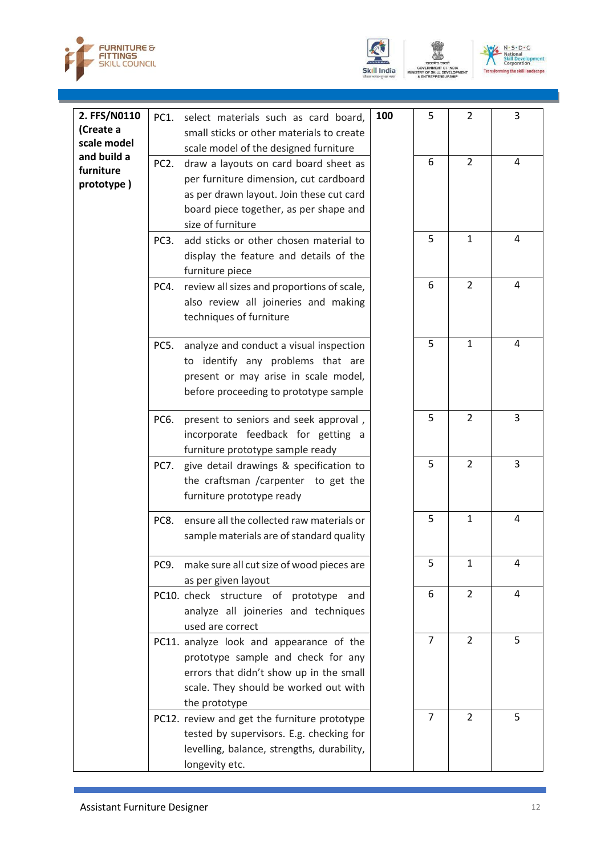





| 2. FFS/N0110 | PC1.              | select materials such as card board,                                               | 100 | 5              | 2              | 3 |
|--------------|-------------------|------------------------------------------------------------------------------------|-----|----------------|----------------|---|
| (Create a    |                   | small sticks or other materials to create                                          |     |                |                |   |
| scale model  |                   | scale model of the designed furniture                                              |     |                |                |   |
| and build a  | PC <sub>2</sub> . | draw a layouts on card board sheet as                                              |     | 6              | $\overline{2}$ | 4 |
| furniture    |                   | per furniture dimension, cut cardboard                                             |     |                |                |   |
| prototype)   |                   | as per drawn layout. Join these cut card                                           |     |                |                |   |
|              |                   | board piece together, as per shape and                                             |     |                |                |   |
|              |                   | size of furniture                                                                  |     |                |                |   |
|              | PC <sub>3</sub> . | add sticks or other chosen material to                                             |     | 5              | $\mathbf{1}$   | 4 |
|              |                   | display the feature and details of the                                             |     |                |                |   |
|              |                   | furniture piece                                                                    |     |                |                |   |
|              | PC4.              |                                                                                    |     | 6              | $\overline{2}$ | 4 |
|              |                   | review all sizes and proportions of scale,<br>also review all joineries and making |     |                |                |   |
|              |                   |                                                                                    |     |                |                |   |
|              |                   | techniques of furniture                                                            |     |                |                |   |
|              | PC5.              | analyze and conduct a visual inspection                                            |     | 5              | $\mathbf{1}$   | 4 |
|              |                   | to identify any problems that are                                                  |     |                |                |   |
|              |                   | present or may arise in scale model,                                               |     |                |                |   |
|              |                   | before proceeding to prototype sample                                              |     |                |                |   |
|              |                   |                                                                                    |     |                |                |   |
|              | PC6.              | present to seniors and seek approval,                                              |     | 5              | 2              | 3 |
|              |                   | incorporate feedback for getting a                                                 |     |                |                |   |
|              |                   | furniture prototype sample ready                                                   |     |                |                |   |
|              | PC7.              | give detail drawings & specification to                                            |     | 5              | 2              | 3 |
|              |                   | the craftsman /carpenter to get the                                                |     |                |                |   |
|              |                   | furniture prototype ready                                                          |     |                |                |   |
|              | PC8.              | ensure all the collected raw materials or                                          |     | 5              | $\mathbf{1}$   | 4 |
|              |                   | sample materials are of standard quality                                           |     |                |                |   |
|              |                   |                                                                                    |     |                |                |   |
|              | PC9.              | make sure all cut size of wood pieces are                                          |     | 5              | $\mathbf{1}$   | 4 |
|              |                   | as per given layout                                                                |     |                |                |   |
|              |                   | PC10. check structure of prototype<br>and                                          |     | 6              | $\overline{2}$ | 4 |
|              |                   | analyze all joineries and techniques                                               |     |                |                |   |
|              |                   | used are correct                                                                   |     |                |                |   |
|              |                   | PC11. analyze look and appearance of the                                           |     | $\overline{7}$ | $\overline{2}$ | 5 |
|              |                   | prototype sample and check for any                                                 |     |                |                |   |
|              |                   | errors that didn't show up in the small                                            |     |                |                |   |
|              |                   | scale. They should be worked out with                                              |     |                |                |   |
|              |                   | the prototype                                                                      |     |                |                |   |
|              |                   | PC12. review and get the furniture prototype                                       |     | $\overline{7}$ | $\overline{2}$ | 5 |
|              |                   | tested by supervisors. E.g. checking for                                           |     |                |                |   |
|              |                   | levelling, balance, strengths, durability,                                         |     |                |                |   |
|              |                   | longevity etc.                                                                     |     |                |                |   |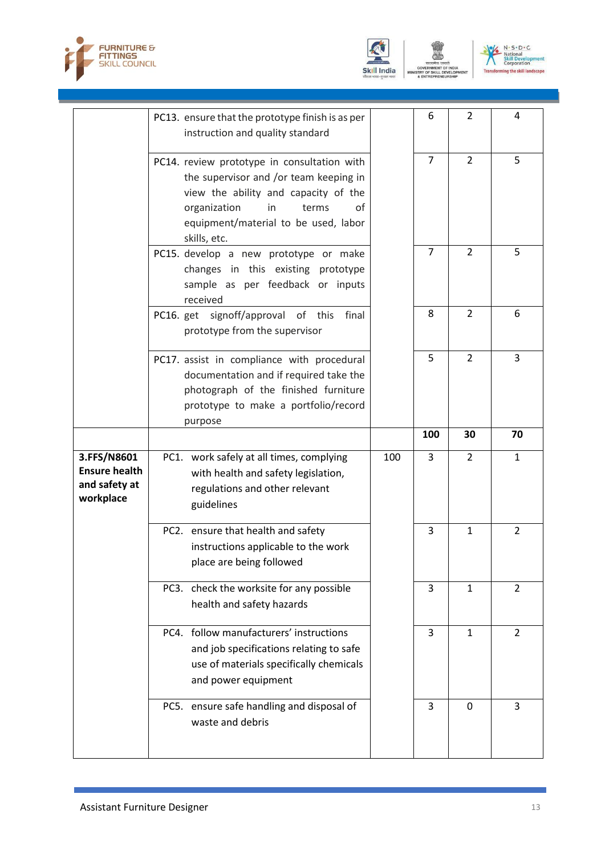





|                                                                   | PC13. ensure that the prototype finish is as per<br>instruction and quality standard                                                                                                                                        |     | 6              | $\overline{2}$ | 4              |
|-------------------------------------------------------------------|-----------------------------------------------------------------------------------------------------------------------------------------------------------------------------------------------------------------------------|-----|----------------|----------------|----------------|
|                                                                   | PC14. review prototype in consultation with<br>the supervisor and /or team keeping in<br>view the ability and capacity of the<br>organization<br>terms<br>in.<br>οf<br>equipment/material to be used, labor<br>skills, etc. |     | $\overline{7}$ | 2              | 5              |
|                                                                   | PC15. develop a new prototype or make<br>changes in this existing prototype<br>sample as per feedback or inputs<br>received                                                                                                 |     | $\overline{7}$ | $\overline{2}$ | 5              |
|                                                                   | PC16. get signoff/approval of this<br>final<br>prototype from the supervisor                                                                                                                                                |     | 8              | $\overline{2}$ | 6              |
|                                                                   | PC17. assist in compliance with procedural<br>documentation and if required take the<br>photograph of the finished furniture<br>prototype to make a portfolio/record<br>purpose                                             |     | 5              | $\overline{2}$ | 3              |
|                                                                   |                                                                                                                                                                                                                             |     | 100            | 30             | 70             |
|                                                                   |                                                                                                                                                                                                                             |     |                |                |                |
| 3.FFS/N8601<br><b>Ensure health</b><br>and safety at<br>workplace | PC1. work safely at all times, complying<br>with health and safety legislation,<br>regulations and other relevant<br>guidelines                                                                                             | 100 | 3              | $\overline{2}$ | $\mathbf{1}$   |
|                                                                   | PC2. ensure that health and safety<br>instructions applicable to the work<br>place are being followed                                                                                                                       |     | 3              | $\mathbf{1}$   | $\overline{2}$ |
|                                                                   | PC3. check the worksite for any possible<br>health and safety hazards                                                                                                                                                       |     | 3              | $\mathbf{1}$   | $\overline{2}$ |
|                                                                   | PC4. follow manufacturers' instructions<br>and job specifications relating to safe<br>use of materials specifically chemicals<br>and power equipment                                                                        |     | 3              | 1              | 2              |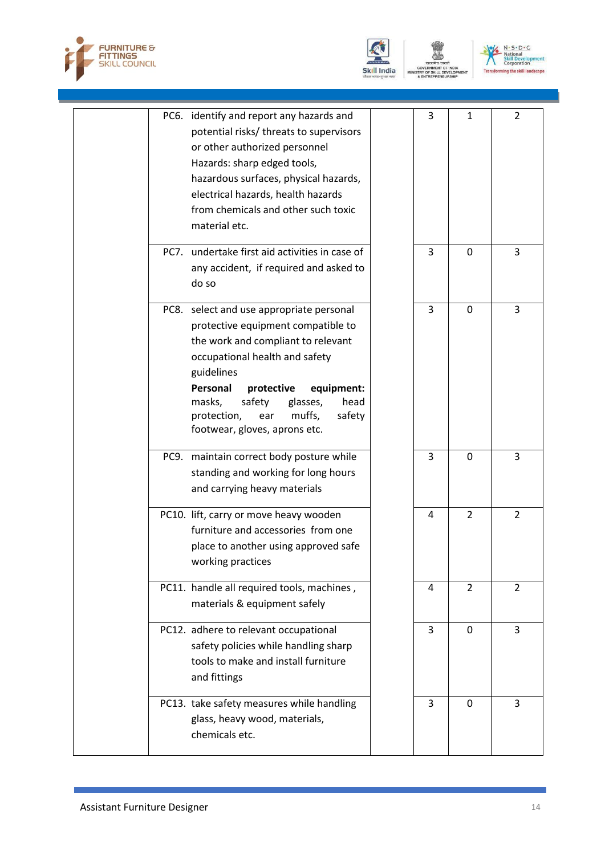





ENT

|  | PC6. identify and report any hazards and                         | 3 | $\mathbf{1}$   | $\overline{2}$ |
|--|------------------------------------------------------------------|---|----------------|----------------|
|  | potential risks/ threats to supervisors                          |   |                |                |
|  | or other authorized personnel                                    |   |                |                |
|  | Hazards: sharp edged tools,                                      |   |                |                |
|  | hazardous surfaces, physical hazards,                            |   |                |                |
|  | electrical hazards, health hazards                               |   |                |                |
|  | from chemicals and other such toxic                              |   |                |                |
|  | material etc.                                                    |   |                |                |
|  | PC7. undertake first aid activities in case of                   | 3 | $\Omega$       | 3              |
|  | any accident, if required and asked to                           |   |                |                |
|  | do so                                                            |   |                |                |
|  |                                                                  |   |                |                |
|  | PC8. select and use appropriate personal                         | 3 | $\mathbf 0$    | 3              |
|  | protective equipment compatible to                               |   |                |                |
|  | the work and compliant to relevant                               |   |                |                |
|  | occupational health and safety                                   |   |                |                |
|  | guidelines                                                       |   |                |                |
|  | Personal<br>protective<br>equipment:<br>safety<br>head<br>masks, |   |                |                |
|  | glasses,<br>safety<br>protection,<br>ear<br>muffs,               |   |                |                |
|  | footwear, gloves, aprons etc.                                    |   |                |                |
|  |                                                                  |   |                |                |
|  | PC9. maintain correct body posture while                         | 3 | $\mathbf 0$    | 3              |
|  | standing and working for long hours                              |   |                |                |
|  | and carrying heavy materials                                     |   |                |                |
|  | PC10. lift, carry or move heavy wooden                           | 4 | $\overline{2}$ | $\overline{2}$ |
|  | furniture and accessories from one                               |   |                |                |
|  | place to another using approved safe                             |   |                |                |
|  | working practices                                                |   |                |                |
|  | PC11. handle all required tools, machines,                       | 4 | $\overline{2}$ | $\overline{2}$ |
|  |                                                                  |   |                |                |
|  | materials & equipment safely                                     |   |                |                |
|  | PC12. adhere to relevant occupational                            | 3 | $\Omega$       | 3              |
|  | safety policies while handling sharp                             |   |                |                |
|  | tools to make and install furniture                              |   |                |                |
|  | and fittings                                                     |   |                |                |
|  | PC13. take safety measures while handling                        | 3 | $\Omega$       | 3              |
|  | glass, heavy wood, materials,                                    |   |                |                |
|  | chemicals etc.                                                   |   |                |                |
|  |                                                                  |   |                |                |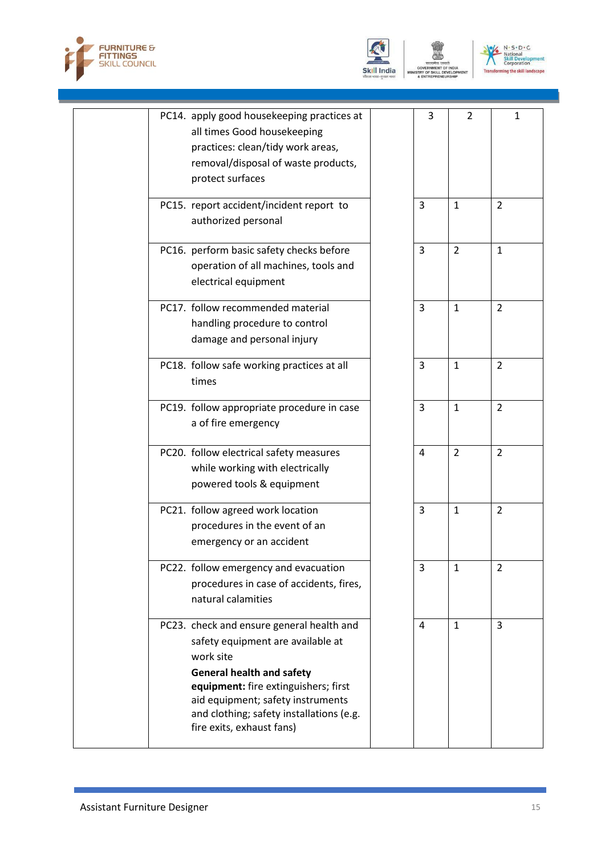





| PC14. apply good housekeeping practices at<br>all times Good housekeeping<br>practices: clean/tidy work areas,<br>removal/disposal of waste products,<br>protect surfaces                                                                                                             | 3              | $\overline{2}$ | $\mathbf{1}$   |
|---------------------------------------------------------------------------------------------------------------------------------------------------------------------------------------------------------------------------------------------------------------------------------------|----------------|----------------|----------------|
| PC15. report accident/incident report to<br>authorized personal                                                                                                                                                                                                                       | 3              | $\mathbf{1}$   | $\overline{2}$ |
| PC16. perform basic safety checks before<br>operation of all machines, tools and<br>electrical equipment                                                                                                                                                                              | $\overline{3}$ | $\overline{2}$ | $\mathbf{1}$   |
| PC17. follow recommended material<br>handling procedure to control<br>damage and personal injury                                                                                                                                                                                      | 3              | $\mathbf{1}$   | $\overline{2}$ |
| PC18. follow safe working practices at all<br>times                                                                                                                                                                                                                                   | 3              | $\mathbf{1}$   | 2              |
| PC19. follow appropriate procedure in case<br>a of fire emergency                                                                                                                                                                                                                     | 3              | $\mathbf{1}$   | $\overline{2}$ |
| PC20. follow electrical safety measures<br>while working with electrically<br>powered tools & equipment                                                                                                                                                                               | 4              | $\overline{2}$ | $\overline{2}$ |
| PC21. follow agreed work location<br>procedures in the event of an<br>emergency or an accident                                                                                                                                                                                        | $\overline{3}$ | $\mathbf{1}$   | 2              |
| PC22. follow emergency and evacuation<br>procedures in case of accidents, fires,<br>natural calamities                                                                                                                                                                                | 3              | $\mathbf{1}$   | 2              |
| PC23. check and ensure general health and<br>safety equipment are available at<br>work site<br><b>General health and safety</b><br>equipment: fire extinguishers; first<br>aid equipment; safety instruments<br>and clothing; safety installations (e.g.<br>fire exits, exhaust fans) | 4              | $\mathbf{1}$   | 3              |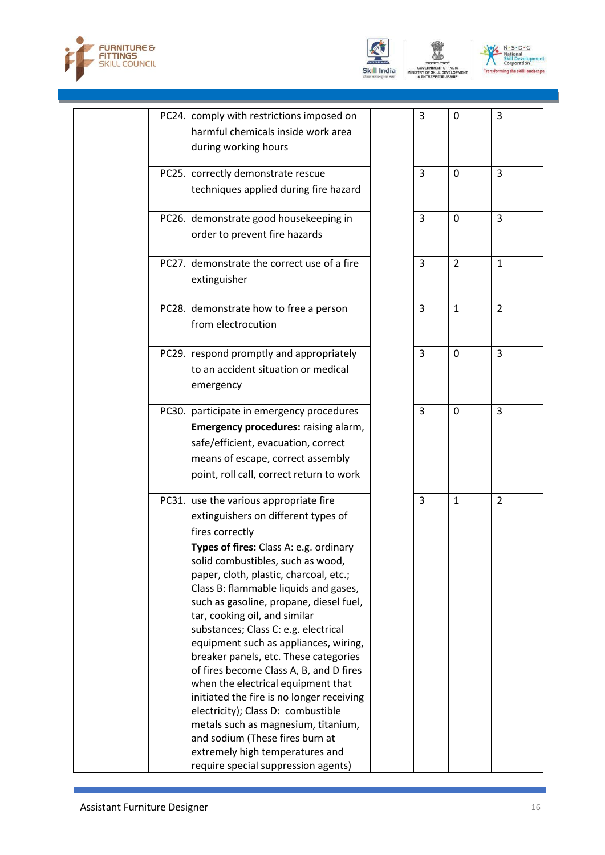





:NT

| PC24. comply with restrictions imposed on<br>harmful chemicals inside work area<br>during working hours                                                                                                                                                                                                                                                                                                                                                                                                                                                                                                                                                                                                                                                                                          | 3              | $\mathbf 0$    | 3              |
|--------------------------------------------------------------------------------------------------------------------------------------------------------------------------------------------------------------------------------------------------------------------------------------------------------------------------------------------------------------------------------------------------------------------------------------------------------------------------------------------------------------------------------------------------------------------------------------------------------------------------------------------------------------------------------------------------------------------------------------------------------------------------------------------------|----------------|----------------|----------------|
| PC25. correctly demonstrate rescue<br>techniques applied during fire hazard                                                                                                                                                                                                                                                                                                                                                                                                                                                                                                                                                                                                                                                                                                                      | 3              | $\mathbf{0}$   | 3              |
| PC26. demonstrate good housekeeping in<br>order to prevent fire hazards                                                                                                                                                                                                                                                                                                                                                                                                                                                                                                                                                                                                                                                                                                                          | 3              | $\mathbf 0$    | 3              |
| PC27. demonstrate the correct use of a fire<br>extinguisher                                                                                                                                                                                                                                                                                                                                                                                                                                                                                                                                                                                                                                                                                                                                      | 3              | $\overline{2}$ | $\mathbf{1}$   |
| PC28. demonstrate how to free a person<br>from electrocution                                                                                                                                                                                                                                                                                                                                                                                                                                                                                                                                                                                                                                                                                                                                     | $\overline{3}$ | $\mathbf{1}$   | $\overline{2}$ |
| PC29. respond promptly and appropriately<br>to an accident situation or medical<br>emergency                                                                                                                                                                                                                                                                                                                                                                                                                                                                                                                                                                                                                                                                                                     | 3              | $\mathbf 0$    | 3              |
| PC30. participate in emergency procedures<br>Emergency procedures: raising alarm,<br>safe/efficient, evacuation, correct<br>means of escape, correct assembly<br>point, roll call, correct return to work                                                                                                                                                                                                                                                                                                                                                                                                                                                                                                                                                                                        | 3              | $\mathbf 0$    | 3              |
| PC31. use the various appropriate fire<br>extinguishers on different types of<br>fires correctly<br>Types of fires: Class A: e.g. ordinary<br>solid combustibles, such as wood,<br>paper, cloth, plastic, charcoal, etc.;<br>Class B: flammable liquids and gases,<br>such as gasoline, propane, diesel fuel,<br>tar, cooking oil, and similar<br>substances; Class C: e.g. electrical<br>equipment such as appliances, wiring,<br>breaker panels, etc. These categories<br>of fires become Class A, B, and D fires<br>when the electrical equipment that<br>initiated the fire is no longer receiving<br>electricity); Class D: combustible<br>metals such as magnesium, titanium,<br>and sodium (These fires burn at<br>extremely high temperatures and<br>require special suppression agents) | 3              | $\mathbf{1}$   | 2              |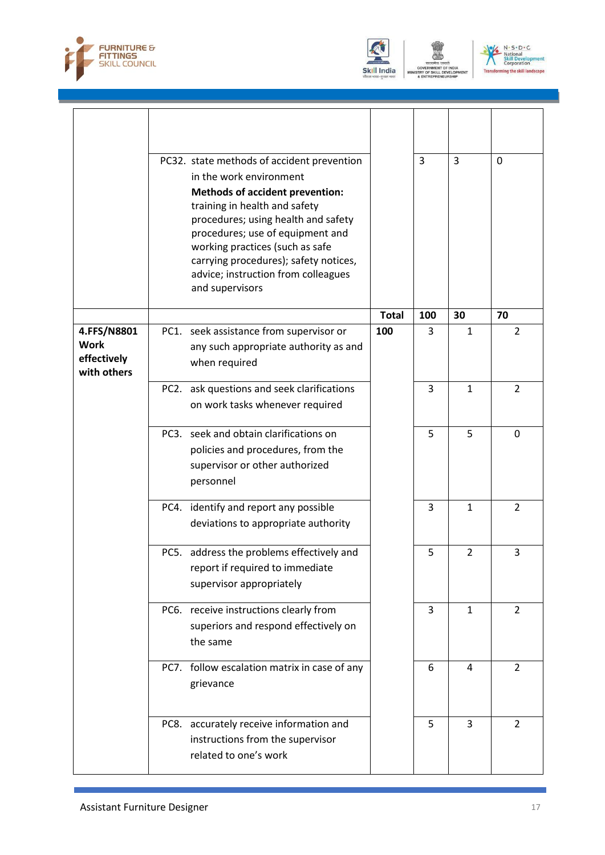





ENT

|                                                          | PC32. state methods of accident prevention<br>in the work environment<br><b>Methods of accident prevention:</b><br>training in health and safety<br>procedures; using health and safety<br>procedures; use of equipment and<br>working practices (such as safe<br>carrying procedures); safety notices,<br>advice; instruction from colleagues<br>and supervisors |              | 3              | 3              | $\Omega$       |
|----------------------------------------------------------|-------------------------------------------------------------------------------------------------------------------------------------------------------------------------------------------------------------------------------------------------------------------------------------------------------------------------------------------------------------------|--------------|----------------|----------------|----------------|
|                                                          |                                                                                                                                                                                                                                                                                                                                                                   | <b>Total</b> | 100            | 30             | 70             |
| 4.FFS/N8801<br><b>Work</b><br>effectively<br>with others | PC1. seek assistance from supervisor or<br>any such appropriate authority as and<br>when required                                                                                                                                                                                                                                                                 | 100          | 3              | $\mathbf{1}$   | $\overline{2}$ |
|                                                          | ask questions and seek clarifications<br>PC <sub>2</sub> .<br>on work tasks whenever required                                                                                                                                                                                                                                                                     |              | $\overline{3}$ | $\mathbf{1}$   | $\overline{2}$ |
|                                                          | PC3. seek and obtain clarifications on<br>policies and procedures, from the<br>supervisor or other authorized<br>personnel                                                                                                                                                                                                                                        |              | 5              | 5              | 0              |
|                                                          | PC4. identify and report any possible<br>deviations to appropriate authority                                                                                                                                                                                                                                                                                      |              | 3              | $\mathbf{1}$   | 2              |
|                                                          | PC5. address the problems effectively and<br>report if required to immediate<br>supervisor appropriately                                                                                                                                                                                                                                                          |              | 5              | $\overline{2}$ | 3              |
|                                                          | PC6. receive instructions clearly from<br>superiors and respond effectively on<br>the same                                                                                                                                                                                                                                                                        |              | 3              | $\mathbf{1}$   | $\overline{2}$ |
|                                                          | PC7. follow escalation matrix in case of any<br>grievance                                                                                                                                                                                                                                                                                                         |              | 6              | 4              | $\overline{2}$ |
|                                                          | PC8. accurately receive information and<br>instructions from the supervisor<br>related to one's work                                                                                                                                                                                                                                                              |              | 5              | $\overline{3}$ | $\overline{2}$ |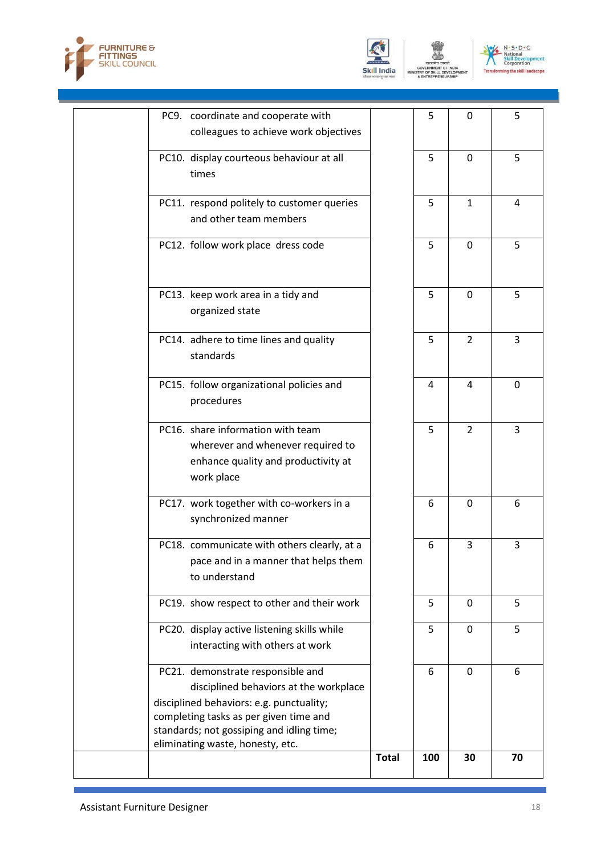





| eliminating waste, honesty, etc. |                                                                                                                                                                                                             | <b>Total</b> | 100              | 30                                                           | 70               |
|----------------------------------|-------------------------------------------------------------------------------------------------------------------------------------------------------------------------------------------------------------|--------------|------------------|--------------------------------------------------------------|------------------|
|                                  |                                                                                                                                                                                                             |              |                  |                                                              |                  |
|                                  | standards; not gossiping and idling time;                                                                                                                                                                   |              |                  |                                                              |                  |
|                                  | disciplined behaviors: e.g. punctuality;<br>completing tasks as per given time and                                                                                                                          |              |                  |                                                              |                  |
|                                  | disciplined behaviors at the workplace                                                                                                                                                                      |              |                  |                                                              |                  |
|                                  | PC21. demonstrate responsible and                                                                                                                                                                           |              | 6                | 0                                                            | 6                |
|                                  |                                                                                                                                                                                                             |              |                  |                                                              |                  |
|                                  | interacting with others at work                                                                                                                                                                             |              |                  |                                                              |                  |
|                                  | PC20. display active listening skills while                                                                                                                                                                 |              | 5                | $\mathbf{0}$                                                 | 5                |
|                                  | PC19. show respect to other and their work                                                                                                                                                                  |              | 5                | $\mathbf{0}$                                                 | 5                |
| to understand                    |                                                                                                                                                                                                             |              |                  |                                                              |                  |
|                                  | pace and in a manner that helps them                                                                                                                                                                        |              |                  |                                                              |                  |
|                                  | PC18. communicate with others clearly, at a                                                                                                                                                                 |              | 6                | 3                                                            | 3                |
|                                  | synchronized manner                                                                                                                                                                                         |              |                  |                                                              |                  |
|                                  | PC17. work together with co-workers in a                                                                                                                                                                    |              | 6                | 0                                                            | 6                |
|                                  |                                                                                                                                                                                                             |              |                  |                                                              |                  |
| work place                       | enhance quality and productivity at                                                                                                                                                                         |              |                  |                                                              |                  |
|                                  | wherever and whenever required to                                                                                                                                                                           |              |                  |                                                              |                  |
|                                  | PC16. share information with team                                                                                                                                                                           |              | 5                | $\overline{2}$                                               | 3                |
|                                  |                                                                                                                                                                                                             |              |                  |                                                              |                  |
| procedures                       | PC15. follow organizational policies and                                                                                                                                                                    |              | 4                | 4                                                            | $\overline{0}$   |
| standards                        |                                                                                                                                                                                                             |              |                  |                                                              |                  |
|                                  | PC14. adhere to time lines and quality                                                                                                                                                                      |              | 5                | $\overline{2}$                                               | 3                |
|                                  |                                                                                                                                                                                                             |              |                  |                                                              |                  |
| organized state                  | PC13. keep work area in a tidy and                                                                                                                                                                          |              | 5                | $\mathbf 0$                                                  | 5                |
|                                  |                                                                                                                                                                                                             |              |                  |                                                              |                  |
|                                  |                                                                                                                                                                                                             |              |                  |                                                              |                  |
|                                  |                                                                                                                                                                                                             |              |                  |                                                              |                  |
|                                  | and other team members                                                                                                                                                                                      |              |                  |                                                              |                  |
|                                  |                                                                                                                                                                                                             |              |                  |                                                              |                  |
| times                            |                                                                                                                                                                                                             |              |                  |                                                              |                  |
|                                  |                                                                                                                                                                                                             |              |                  |                                                              |                  |
|                                  |                                                                                                                                                                                                             |              |                  |                                                              |                  |
|                                  | PC9. coordinate and cooperate with<br>colleagues to achieve work objectives<br>PC10. display courteous behaviour at all<br>PC11. respond politely to customer queries<br>PC12. follow work place dress code |              | 5<br>5<br>5<br>5 | $\mathbf{0}$<br>$\mathbf{0}$<br>$\mathbf{1}$<br>$\mathbf{0}$ | 5<br>5<br>4<br>5 |